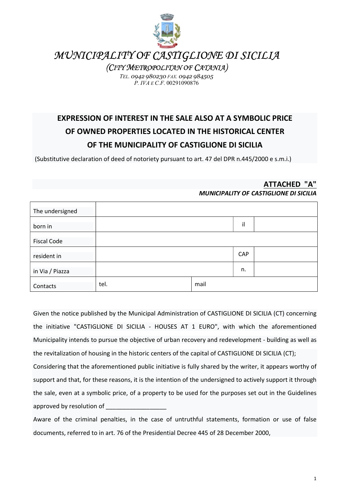

MUNICIPALITY OF CASTIGLIONE DI SICILIA

(CITY METROPOLITAN OF CATANIA)

TEL. 0942 980230 FAX. 0942 984505 P. IVA E C.F. 00291090876

## EXPRESSION OF INTEREST IN THE SALE ALSO AT A SYMBOLIC PRICE OF OWNED PROPERTIES LOCATED IN THE HISTORICAL CENTER OF THE MUNICIPALITY OF CASTIGLIONE DI SICILIA

(Substitutive declaration of deed of notoriety pursuant to art. 47 del DPR n.445/2000 e s.m.i.)

## ATTACHED "A" MUNICIPALITY OF CASTIGLIONE DI SICILIA

| The undersigned    |      |      |     |  |
|--------------------|------|------|-----|--|
| born in            |      |      | il  |  |
| <b>Fiscal Code</b> |      |      |     |  |
| resident in        |      |      | CAP |  |
| in Via / Piazza    |      |      | n.  |  |
| Contacts           | tel. | mail |     |  |

Given the notice published by the Municipal Administration of CASTIGLIONE DI SICILIA (CT) concerning the initiative "CASTIGLIONE DI SICILIA - HOUSES AT 1 EURO", with which the aforementioned Municipality intends to pursue the objective of urban recovery and redevelopment - building as well as the revitalization of housing in the historic centers of the capital of CASTIGLIONE DI SICILIA (CT);

Considering that the aforementioned public initiative is fully shared by the writer, it appears worthy of support and that, for these reasons, it is the intention of the undersigned to actively support it through the sale, even at a symbolic price, of a property to be used for the purposes set out in the Guidelines approved by resolution of

Aware of the criminal penalties, in the case of untruthful statements, formation or use of false documents, referred to in art. 76 of the Presidential Decree 445 of 28 December 2000,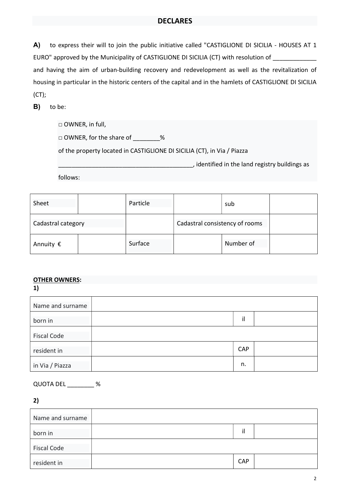## DECLARES

A) to express their will to join the public initiative called "CASTIGLIONE DI SICILIA - HOUSES AT 1 EURO" approved by the Municipality of CASTIGLIONE DI SICILIA (CT) with resolution of \_\_\_\_\_\_\_\_\_\_\_\_\_\_ and having the aim of urban-building recovery and redevelopment as well as the revitalization of housing in particular in the historic centers of the capital and in the hamlets of CASTIGLIONE DI SICILIA (CT);

B) to be:

| $\Box$ OWNER, in full,                                                  |
|-------------------------------------------------------------------------|
| $\Box$ OWNER, for the share of<br>$\%$                                  |
| of the property located in CASTIGLIONE DI SICILIA (CT), in Via / Piazza |
| , identified in the land registry buildings as                          |
| follows:                                                                |

| Sheet              | Particle |                                | sub |  |
|--------------------|----------|--------------------------------|-----|--|
| Cadastral category |          | Cadastral consistency of rooms |     |  |
| Annuity $\epsilon$ | Surface  | Number of                      |     |  |

## OTHER OWNERS:

| Name and surname   |     |  |
|--------------------|-----|--|
| born in            | il  |  |
| <b>Fiscal Code</b> |     |  |
| resident in        | CAP |  |
| in Via / Piazza    | n.  |  |

QUOTA DEL \_\_\_\_\_\_\_\_ %

2)

| Name and surname   |            |  |
|--------------------|------------|--|
| born in            | il         |  |
| <b>Fiscal Code</b> |            |  |
| resident in        | <b>CAP</b> |  |

<sup>1)</sup>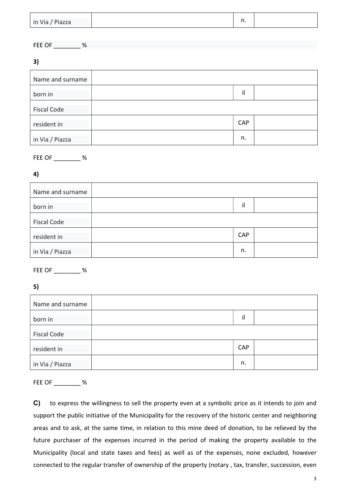| in Via / Piazza | $\sim$<br> |
|-----------------|------------|

FEE OF \_\_\_\_\_\_\_\_ %

3)

| Name and surname   |     |  |
|--------------------|-----|--|
| born in            | il  |  |
| <b>Fiscal Code</b> |     |  |
| resident in        | CAP |  |
| in Via / Piazza    | n.  |  |

FEE OF \_\_\_\_\_\_\_\_ %

4)

| Name and surname   |            |  |
|--------------------|------------|--|
| born in            | il         |  |
| <b>Fiscal Code</b> |            |  |
| resident in        | <b>CAP</b> |  |
| in Via / Piazza    | n.         |  |

FEE OF \_\_\_\_\_\_\_\_ %

5)

| Name and surname   |     |  |
|--------------------|-----|--|
| born in            | il  |  |
| <b>Fiscal Code</b> |     |  |
| resident in        | CAP |  |
| in Via / Piazza    | n.  |  |

FEE OF \_\_\_\_\_\_\_\_ %

C) to express the willingness to sell the property even at a symbolic price as it intends to join and support the public initiative of the Municipality for the recovery of the historic center and neighboring areas and to ask, at the same time, in relation to this mine deed of donation, to be relieved by the future purchaser of the expenses incurred in the period of making the property available to the Municipality (local and state taxes and fees) as well as of the expenses, none excluded, however connected to the regular transfer of ownership of the property (notary , tax, transfer, succession, even